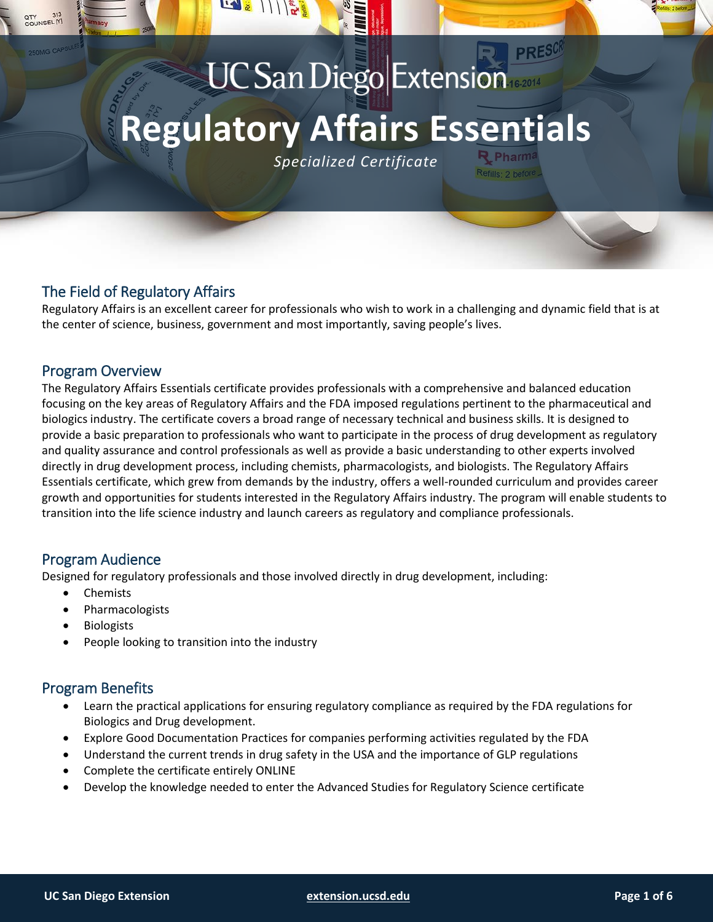# **UC San Diego Extension Regulatory Affairs Essentials**

*Specialized Certificate*

# The Field of Regulatory Affairs

Regulatory Affairs is an excellent career for professionals who wish to work in a challenging and dynamic field that is at the center of science, business, government and most importantly, saving people's lives.

## Program Overview

**OUNSEL** 

The Regulatory Affairs Essentials certificate provides professionals with a comprehensive and balanced education focusing on the key areas of Regulatory Affairs and the FDA imposed regulations pertinent to the pharmaceutical and biologics industry. The certificate covers a broad range of necessary technical and business skills. It is designed to provide a basic preparation to professionals who want to participate in the process of drug development as regulatory and quality assurance and control professionals as well as provide a basic understanding to other experts involved directly in drug development process, including chemists, pharmacologists, and biologists. The Regulatory Affairs Essentials certificate, which grew from demands by the industry, offers a well-rounded curriculum and provides career growth and opportunities for students interested in the Regulatory Affairs industry. The program will enable students to transition into the life science industry and launch careers as regulatory and compliance professionals.

## Program Audience

Designed for regulatory professionals and those involved directly in drug development, including:

- Chemists
- Pharmacologists
- Biologists
- People looking to transition into the industry

## Program Benefits

- Learn the practical applications for ensuring regulatory compliance as required by the FDA regulations for Biologics and Drug development.
- Explore Good Documentation Practices for companies performing activities regulated by the FDA
- Understand the current trends in drug safety in the USA and the importance of GLP regulations
- Complete the certificate entirely ONLINE
- Develop the knowledge needed to enter the Advanced Studies for Regulatory Science certificate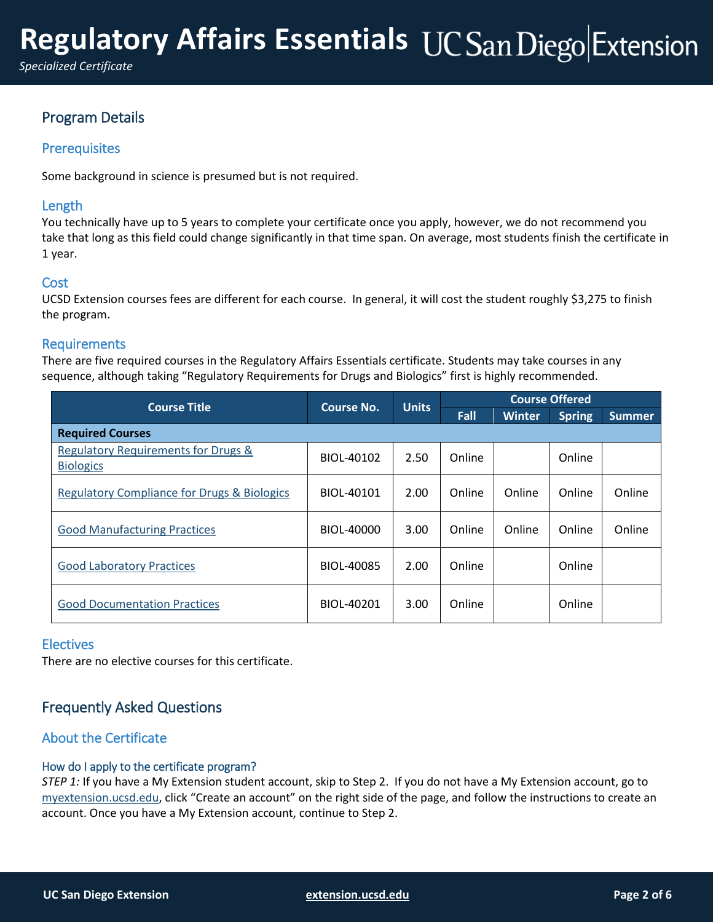# Program Details

## **Prerequisites**

Some background in science is presumed but is not required.

### Length

You technically have up to 5 years to complete your certificate once you apply, however, we do not recommend you take that long as this field could change significantly in that time span. On average, most students finish the certificate in 1 year.

### **Cost**

<span id="page-1-0"></span>UCSD Extension courses fees are different for each course. In general, it will cost the student roughly \$3,275 to finish the program.

### Requirements

There are five required courses in the Regulatory Affairs Essentials certificate. Students may take courses in any sequence, although taking "Regulatory Requirements for Drugs and Biologics" first is highly recommended.

| <b>Course Title</b>                                                | <b>Course No.</b> | <b>Units</b> | <b>Course Offered</b> |               |               |               |
|--------------------------------------------------------------------|-------------------|--------------|-----------------------|---------------|---------------|---------------|
|                                                                    |                   |              | Fall                  | <b>Winter</b> | <b>Spring</b> | <b>Summer</b> |
| <b>Required Courses</b>                                            |                   |              |                       |               |               |               |
| <b>Regulatory Requirements for Drugs &amp;</b><br><b>Biologics</b> | BIOL-40102        | 2.50         | Online                |               | Online        |               |
| <b>Regulatory Compliance for Drugs &amp; Biologics</b>             | BIOL-40101        | 2.00         | Online                | Online        | Online        | Online        |
| <b>Good Manufacturing Practices</b>                                | BIOL-40000        | 3.00         | Online                | Online        | Online        | Online        |
| <b>Good Laboratory Practices</b>                                   | BIOL-40085        | 2.00         | Online                |               | Online        |               |
| <b>Good Documentation Practices</b>                                | BIOL-40201        | 3.00         | Online                |               | Online        |               |

#### **Electives**

There are no elective courses for this certificate.

## Frequently Asked Questions

## About the Certificate

#### How do I apply to the certificate program?

*STEP 1:* If you have a My Extension student account, skip to Step 2. If you do not have a My Extension account, go to [myextension.ucsd.edu](https://myextension.ucsd.edu/?utm_source=faqs&utm_medium=pdf&utm_campaign=bst-regulatory-affairs-essentials), click "Create an account" on the right side of the page, and follow the instructions to create an account. Once you have a My Extension account, continue to Step 2.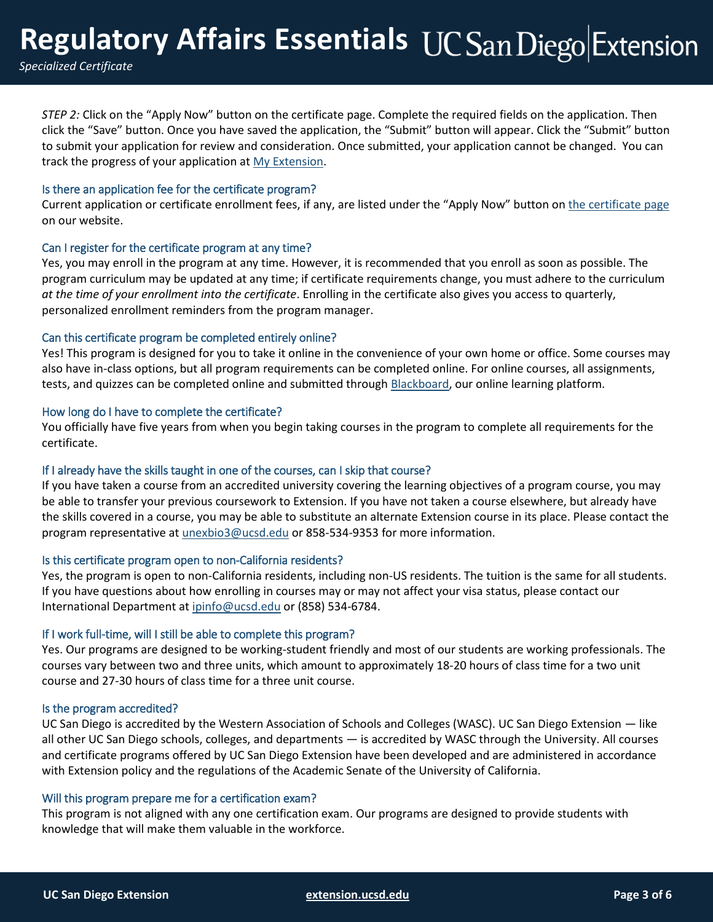*STEP 2:* Click on the "Apply Now" button on the certificate page. Complete the required fields on the application. Then click the "Save" button. Once you have saved the application, the "Submit" button will appear. Click the "Submit" button to submit your application for review and consideration. Once submitted, your application cannot be changed. You can track the progress of your application a[t My Extension.](https://myextension.ucsd.edu/?utm_source=faqs&utm_medium=pdf&utm_campaign=bst-regulatory-affairs-essentials)

#### Is there an application fee for the certificate program?

Current application or certificate enrollment fees, if any, are listed under the "Apply Now" button on [the certificate page](https://extension.ucsd.edu/courses-and-programs/regulatory-affairs-essentials?utm_source=faqs&utm_medium=pdf&utm_campaign=bst-regulatory-affairs-essentials) on our website.

#### Can I register for the certificate program at any time?

Yes, you may enroll in the program at any time. However, it is recommended that you enroll as soon as possible. The program curriculum may be updated at any time; if certificate requirements change, you must adhere to the curriculum *at the time of your enrollment into the certificate*. Enrolling in the certificate also gives you access to quarterly, personalized enrollment reminders from the program manager.

#### Can this certificate program be completed entirely online?

Yes! This program is designed for you to take it online in the convenience of your own home or office. Some courses may also have in-class options, but all program requirements can be completed online. For online courses, all assignments, tests, and quizzes can be completed online and submitted throug[h Blackboard,](https://ucsdextension.blackboard.com/webapps/portal/execute/tabs/tabAction?tab_tab_group_id=_14_1&utm_source=faqs&utm_medium=pdf&utm_campaign=bst-regulatory-affairs-essentials) our online learning platform.

#### How long do I have to complete the certificate?

You officially have five years from when you begin taking courses in the program to complete all requirements for the certificate.

#### If I already have the skills taught in one of the courses, can I skip that course?

If you have taken a course from an accredited university covering the learning objectives of a program course, you may be able to transfer your previous coursework to Extension. If you have not taken a course elsewhere, but already have the skills covered in a course, you may be able to substitute an alternate Extension course in its place. Please contact the program representative a[t unexbio3@ucsd.edu](mailto:unexbio3@ucsd.edu?subject=Regulatory%20Affairs%20Essentials) or 858-534-9353 for more information.

#### Is this certificate program open to non-California residents?

Yes, the program is open to non-California residents, including non-US residents. The tuition is the same for all students. If you have questions about how enrolling in courses may or may not affect your visa status, please contact our International Department at [ipinfo@ucsd.edu](mailto:ipinfo@ucsd.edu) or (858) 534-6784.

#### If I work full-time, will I still be able to complete this program?

Yes. Our programs are designed to be working-student friendly and most of our students are working professionals. The courses vary between two and three units, which amount to approximately 18-20 hours of class time for a two unit course and 27-30 hours of class time for a three unit course.

#### Is the program accredited?

UC San Diego is accredited by the Western Association of Schools and Colleges (WASC). UC San Diego Extension — like all other UC San Diego schools, colleges, and departments — is accredited by WASC through the University. All courses and certificate programs offered by UC San Diego Extension have been developed and are administered in accordance with Extension policy and the regulations of the Academic Senate of the University of California.

#### Will this program prepare me for a certification exam?

This program is not aligned with any one certification exam. Our programs are designed to provide students with knowledge that will make them valuable in the workforce.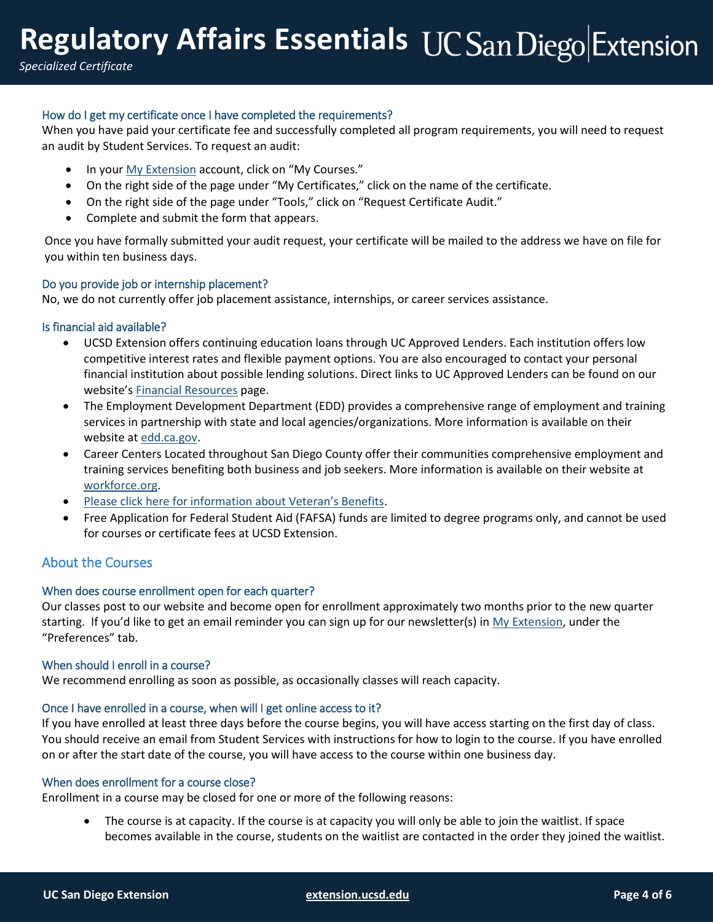*Specialized Certificate*

## How do I get my certificate once I have completed the requirements?

When you have paid your certificate fee and successfully completed all program requirements, you will need to request an audit by Student Services. To request an audit:

- In your [My Extension](https://myextension.ucsd.edu/?utm_source=faqs&utm_medium=pdf&utm_campaign=bst-regulatory-affairs-essentials) account, click on "My Courses."
- On the right side of the page under "My Certificates," click on the name of the certificate.
- On the right side of the page under "Tools," click on "Request Certificate Audit."
- Complete and submit the form that appears.

Once you have formally submitted your audit request, your certificate will be mailed to the address we have on file for you within ten business days.

#### Do you provide job or internship placement?

No, we do not currently offer job placement assistance, internships, or career services assistance.

#### Is financial aid available?

- UCSD Extension offers continuing education loans through UC Approved Lenders. Each institution offers low competitive interest rates and flexible payment options. You are also encouraged to contact your personal financial institution about possible lending solutions. Direct links to UC Approved Lenders can be found on our website's [Financial Resources](https://extension.ucsd.edu/student-resources/financial-resources?utm_source=faqs&utm_medium=pdf&utm_campaign=bst-regulatory-affairs-essentials) page.
- The Employment Development Department (EDD) provides a comprehensive range of employment and training services in partnership with state and local agencies/organizations. More information is available on their website at [edd.ca.gov.](http://edd.ca.gov/)
- Career Centers Located throughout San Diego County offer their communities comprehensive employment and training services benefiting both business and job seekers. More information is available on their website at [workforce.org.](http://workforce.org/)
- [Please click here for information about Veteran's Benefits](https://extension.ucsd.edu/student-resources/veterans-education-benefits?utm_source=faqs&utm_medium=pdf&utm_campaign=bst-regulatory-affairs-essentials).
- Free Application for Federal Student Aid (FAFSA) funds are limited to degree programs only, and cannot be used for courses or certificate fees at UCSD Extension.

## About the Courses

#### When does course enrollment open for each quarter?

Our classes post to our website and become open for enrollment approximately two months prior to the new quarter starting. If you'd like to get an email reminder you can sign up for our newsletter(s) in [My Extension,](https://myextension.ucsd.edu/?utm_source=faqs&utm_medium=pdf&utm_campaign=bst-regulatory-affairs-essentials) under the "Preferences" tab.

#### When should I enroll in a course?

We recommend enrolling as soon as possible, as occasionally classes will reach capacity.

#### Once I have enrolled in a course, when will I get online access to it?

If you have enrolled at least three days before the course begins, you will have access starting on the first day of class. You should receive an email from Student Services with instructions for how to login to the course. If you have enrolled on or after the start date of the course, you will have access to the course within one business day.

#### When does enrollment for a course close?

Enrollment in a course may be closed for one or more of the following reasons:

 The course is at capacity. If the course is at capacity you will only be able to join the waitlist. If space becomes available in the course, students on the waitlist are contacted in the order they joined the waitlist.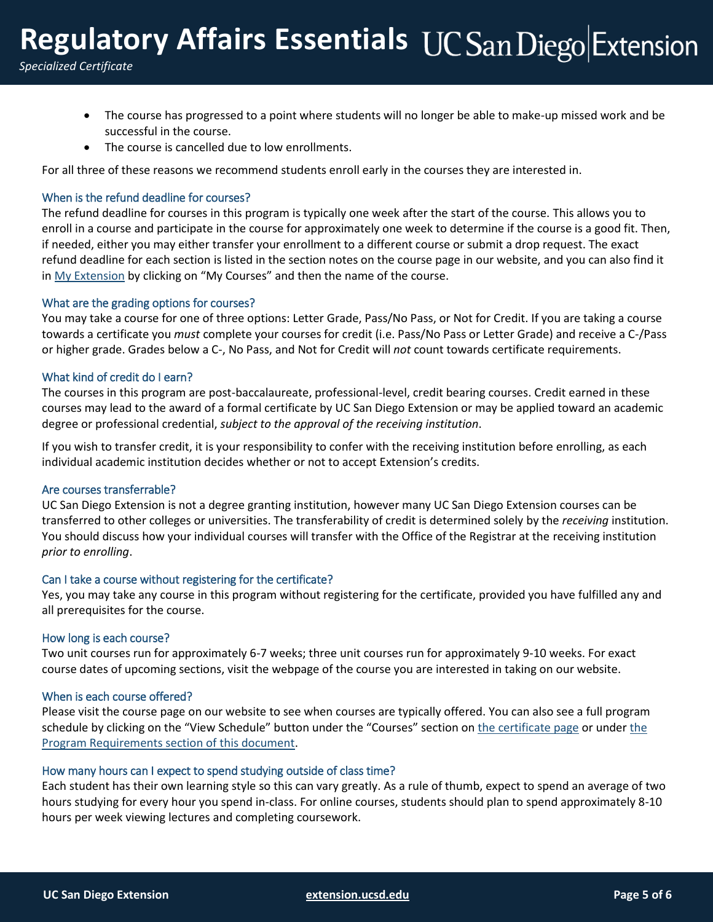# **Regulatory Affairs Essentials**

*Specialized Certificate*

- The course has progressed to a point where students will no longer be able to make-up missed work and be successful in the course.
- The course is cancelled due to low enrollments.

For all three of these reasons we recommend students enroll early in the courses they are interested in.

#### When is the refund deadline for courses?

The refund deadline for courses in this program is typically one week after the start of the course. This allows you to enroll in a course and participate in the course for approximately one week to determine if the course is a good fit. Then, if needed, either you may either transfer your enrollment to a different course or submit a drop request. The exact refund deadline for each section is listed in the section notes on the course page in our website, and you can also find it in [My Extension](https://myextension.ucsd.edu/?utm_source=faqs&utm_medium=pdf&utm_campaign=bst-regulatory-affairs-essentials) by clicking on "My Courses" and then the name of the course.

#### What are the grading options for courses?

You may take a course for one of three options: Letter Grade, Pass/No Pass, or Not for Credit. If you are taking a course towards a certificate you *must* complete your courses for credit (i.e. Pass/No Pass or Letter Grade) and receive a C-/Pass or higher grade. Grades below a C-, No Pass, and Not for Credit will *not* count towards certificate requirements.

#### What kind of credit do I earn?

The courses in this program are post-baccalaureate, professional-level, credit bearing courses. Credit earned in these courses may lead to the award of a formal certificate by UC San Diego Extension or may be applied toward an academic degree or professional credential, *subject to the approval of the receiving institution*.

If you wish to transfer credit, it is your responsibility to confer with the receiving institution before enrolling, as each individual academic institution decides whether or not to accept Extension's credits.

#### Are courses transferrable?

UC San Diego Extension is not a degree granting institution, however many UC San Diego Extension courses can be transferred to other colleges or universities. The transferability of credit is determined solely by the *receiving* institution. You should discuss how your individual courses will transfer with the Office of the Registrar at the receiving institution *prior to enrolling*.

#### Can I take a course without registering for the certificate?

Yes, you may take any course in this program without registering for the certificate, provided you have fulfilled any and all prerequisites for the course.

#### How long is each course?

Two unit courses run for approximately 6-7 weeks; three unit courses run for approximately 9-10 weeks. For exact course dates of upcoming sections, visit the webpage of the course you are interested in taking on our website.

#### When is each course offered?

Please visit the course page on our website to see when courses are typically offered. You can also see a full program schedule by clicking on the "View Schedule" button under the "Courses" section on [the certificate page](https://extension.ucsd.edu/courses-and-programs/regulatory-affairs-essentials?utm_source=faqs&utm_medium=pdf&utm_campaign=bst-regulatory-affairs-essentials) or under the [Program Requirements section of this document.](#page-1-0)

#### How many hours can I expect to spend studying outside of class time?

Each student has their own learning style so this can vary greatly. As a rule of thumb, expect to spend an average of two hours studying for every hour you spend in-class. For online courses, students should plan to spend approximately 8-10 hours per week viewing lectures and completing coursework.